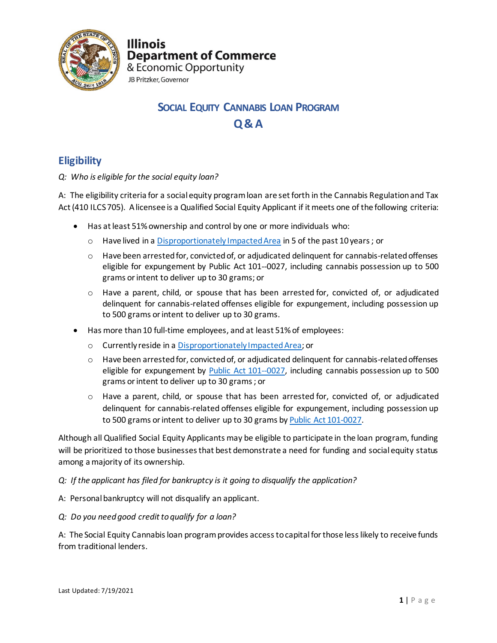

**Illinois Department of Commerce** 

& Economic Opportunity JB Pritzker, Governor

# **SOCIAL EQUITY CANNABIS LOAN PROGRAM Q& A**

## **Eligibility**

*Q: Who is eligible for the social equity loan?*

A: The eligibility criteria for a social equity program loan are set forth in the Cannabis Regulation and Tax Act (410 ILCS 705). A licensee is a Qualified Social Equity Applicant if it meets one of the following criteria:

- Has at least 51% ownership and control by one or more individuals who:
	- o Have lived in a [Disproportionately Impacted Area](https://www2.illinois.gov/dceo/CannabisEquity/Pages/DisproportionateImpactedAreaMap.aspx) in 5 of the past 10 years ; or
	- $\circ$  Have been arrested for, convicted of, or adjudicated delinquent for cannabis-related offenses eligible for expungement by Public Act 101--0027, including cannabis possession up to 500 grams or intent to deliver up to 30 grams; or
	- o Have a parent, child, or spouse that has been arrested for, convicted of, or adjudicated delinquent for cannabis-related offenses eligible for expungement, including possession up to 500 grams or intent to deliver up to 30 grams.
- Has more than 10 full-time employees, and at least 51%of employees:
	- o Currently reside in [a Disproportionately Impacted Area;](https://www2.illinois.gov/dceo/CannabisEquity/Pages/DisproportionateImpactedAreaMap.aspx) or
	- $\circ$  Have been arrested for, convicted of, or adjudicated delinquent for cannabis-related offenses eligible for expungement by [Public Act 101--0027,](https://www.ilga.gov/legislation/publicacts/101/PDF/101-0027.pdf) including cannabis possession up to 500 grams or intent to deliver up to 30 grams; or
	- o Have a parent, child, or spouse that has been arrested for, convicted of, or adjudicated delinquent for cannabis-related offenses eligible for expungement, including possession up to 500 grams or intent to deliver up to 30 grams b[y Public Act 101-0027.](https://www.ilga.gov/legislation/publicacts/101/PDF/101-0027.pdf)

Although all Qualified Social Equity Applicants may be eligible to participate in the loan program, funding will be prioritized to those businesses that best demonstrate a need for funding and social equity status among a majority of its ownership.

- *Q: If the applicant has filed for bankruptcy is it going to disqualify the application?*
- A: Personal bankruptcy will not disqualify an applicant.
- *Q: Do you need good credit to qualify for a loan?*

A: The Social Equity Cannabis loan programprovides access to capital for those less likely to receive funds from traditional lenders.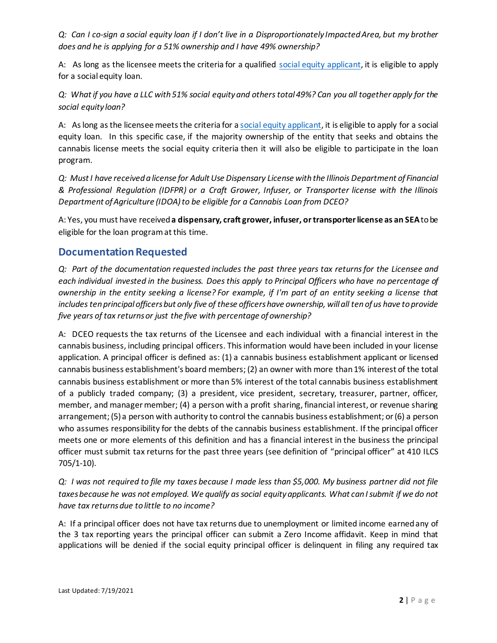*Q:* Can I co-sign a social equity loan if I don't live in a Disproportionately Impacted Area, but my brother *does and he is applying for a 51% ownership and I have 49% ownership?*

A: As long as the licensee meets the criteria for a qualified [social equity applicant,](https://www2.illinois.gov/dceo/cannabisEquity/Pages/default.aspx) it is eligible to apply for a social equity loan.

*Q: What if you have a LLC with 51% social equity and others total 49%? Can you all together apply for the social equity loan?*

A: As long as the licensee meets the criteria for [a social equity applicant,](https://www2.illinois.gov/dceo/CannabisEquity/Pages/SocialEquityApplicantCriteria-.aspxhttps:/www2.illinois.gov/dceo/CannabisEquity/Pages/SocialEquityApplicantCriteria-.aspx) it is eligible to apply for a social equity loan. In this specific case, if the majority ownership of the entity that seeks and obtains the cannabis license meets the social equity criteria then it will also be eligible to participate in the loan program.

*Q: Must I have received a license for Adult Use Dispensary License with the Illinois Department of Financial & Professional Regulation (IDFPR) or a Craft Grower, Infuser, or Transporter license with the Illinois Department of Agriculture (IDOA) to be eligible for a Cannabis Loan from DCEO?*

A: Yes, you must have received **a dispensary, craft grower, infuser, or transporter license as an SEA**to be eligible for the loan program at this time.

## **Documentation Requested**

*Q: Part of the documentation requested includes the past three years tax returns for the Licensee and each individual invested in the business. Does this apply to Principal Officers who have no percentage of ownership in the entity seeking a license? For example, if I'm part of an entity seeking a license that includes ten principal officers but only five of these officers have ownership, will all ten of us have to provide five years of tax returns or just the five with percentage of ownership?*

A: DCEO requests the tax returns of the Licensee and each individual with a financial interest in the cannabis business, including principal officers. This information would have been included in your license application. A principal officer is defined as: (1) a cannabis business establishment applicant or licensed cannabis business establishment's board members; (2) an owner with more than 1% interest of the total cannabis business establishment or more than 5% interest of the total cannabis business establishment of a publicly traded company; (3) a president, vice president, secretary, treasurer, partner, officer, member, and manager member; (4) a person with a profit sharing, financial interest, or revenue sharing arrangement; (5) a person with authority to control the cannabis business establishment; or (6) a person who assumes responsibility for the debts of the cannabis business establishment. If the principal officer meets one or more elements of this definition and has a financial interest in the business the principal officer must submit tax returns for the past three years (see definition of "principal officer" at 410 ILCS 705/1-10).

*Q: I was not required to file my taxes because I made less than \$5,000. My business partner did not file taxes because he was not employed. We qualify as social equity applicants. What can I submit if we do not have tax returns due to little to no income?*

A: If a principal officer does not have tax returns due to unemployment or limited income earned any of the 3 tax reporting years the principal officer can submit a Zero Income affidavit. Keep in mind that applications will be denied if the social equity principal officer is delinquent in filing any required tax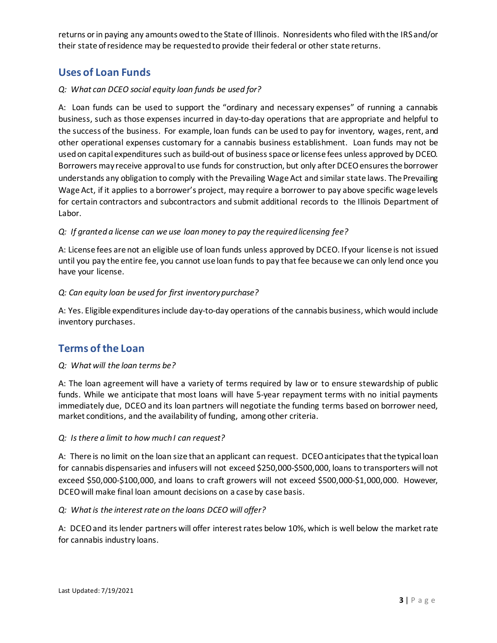returns or in paying any amounts owed to the State of Illinois. Nonresidents who filed with the IRS and/or their state of residence may be requested to provide their federal or other state returns.

## **Uses of Loan Funds**

## *Q: What can DCEO social equity loan funds be used for?*

A: Loan funds can be used to support the "ordinary and necessary expenses" of running a cannabis business, such as those expenses incurred in day-to-day operations that are appropriate and helpful to the success of the business. For example, loan funds can be used to pay for inventory, wages, rent, and other operational expenses customary for a cannabis business establishment. Loan funds may not be used on capital expenditures such as build-out of business space or license fees unless approved by DCEO. Borrowers may receive approval to use funds for construction, but only after DCEO ensures the borrower understands any obligation to comply with the Prevailing Wage Act and similar state laws. The Prevailing Wage Act, if it applies to a borrower's project, may require a borrower to pay above specific wage levels for certain contractors and subcontractors and submit additional records to the Illinois Department of Labor.

### *Q: If granted a license can we use loan money to pay the required licensing fee?*

A: License fees are not an eligible use of loan funds unless approved by DCEO. If your license is not issued until you pay the entire fee, you cannot use loan funds to pay that fee because we can only lend once you have your license.

### *Q: Can equity loan be used for first inventory purchase?*

A: Yes. Eligible expenditures include day-to-day operations of the cannabis business, which would include inventory purchases.

## **Terms of the Loan**

### *Q: What will the loan terms be?*

A: The loan agreement will have a variety of terms required by law or to ensure stewardship of public funds. While we anticipate that most loans will have 5-year repayment terms with no initial payments immediately due, DCEO and its loan partners will negotiate the funding terms based on borrower need, market conditions, and the availability of funding, among other criteria.

### *Q: Is there a limit to how much I can request?*

A: There is no limit on the loan size that an applicant can request. DCEO anticipates that the typical loan for cannabis dispensaries and infusers will not exceed \$250,000-\$500,000, loans to transporters will not exceed \$50,000-\$100,000, and loans to craft growers will not exceed \$500,000-\$1,000,000. However, DCEO will make final loan amount decisions on a case by case basis.

#### *Q: What is the interest rate on the loans DCEO will offer?*

A: DCEOand its lender partners will offer interest rates below 10%, which is well below the market rate for cannabis industry loans.